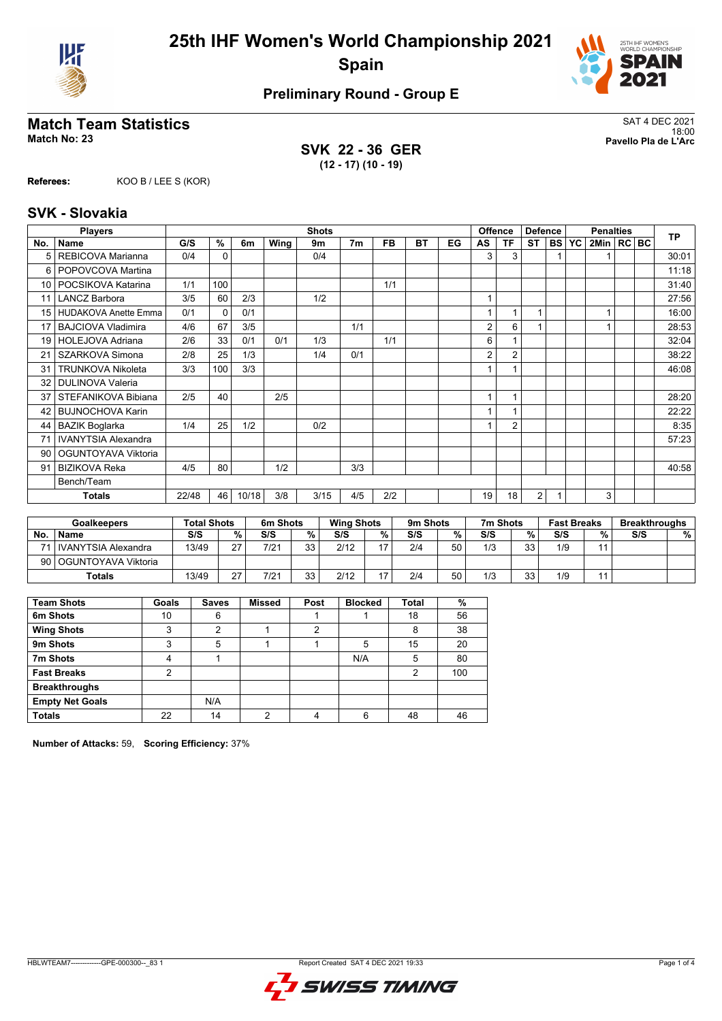



# **Match Team Statistics**<br>Match No: 23<br>Pavello Pla de L'Arc

**SVK 22 - 36 GER (12 - 17) (10 - 19)**

18:00 **Match No: 23 Pavello Pla de L'Arc**

**Referees:** KOO B / LEE S (KOR)

### **SVK - Slovakia**

|                 | <b>Players</b>              |       |              |       |      | <b>Shots</b> |                |           |    |    |    | <b>Offence</b><br><b>Defence</b> |                |           | <b>Penalties</b> |              |  |  | <b>TP</b> |
|-----------------|-----------------------------|-------|--------------|-------|------|--------------|----------------|-----------|----|----|----|----------------------------------|----------------|-----------|------------------|--------------|--|--|-----------|
| No.             | <b>Name</b>                 | G/S   | %            | 6m    | Wing | 9m           | 7 <sub>m</sub> | <b>FB</b> | BT | EG | AS | ΤF                               | <b>ST</b>      | <b>BS</b> | <b>YC</b>        | 2Min   RC BC |  |  |           |
| 5               | REBICOVA Marianna           | 0/4   | $\Omega$     |       |      | 0/4          |                |           |    |    | 3  | 3                                |                |           |                  |              |  |  | 30:01     |
| 6               | POPOVCOVA Martina           |       |              |       |      |              |                |           |    |    |    |                                  |                |           |                  |              |  |  | 11:18     |
| 10              | POCSIKOVA Katarina          | 1/1   | 100          |       |      |              |                | 1/1       |    |    |    |                                  |                |           |                  |              |  |  | 31:40     |
| 11              | <b>LANCZ Barbora</b>        | 3/5   | 60           | 2/3   |      | 1/2          |                |           |    |    |    |                                  |                |           |                  |              |  |  | 27:56     |
| 15 <sup>1</sup> | <b>HUDAKOVA Anette Emma</b> | 0/1   | $\mathbf{0}$ | 0/1   |      |              |                |           |    |    |    |                                  |                |           |                  |              |  |  | 16:00     |
| 17              | <b>BAJCIOVA Vladimira</b>   | 4/6   | 67           | 3/5   |      |              | 1/1            |           |    |    | 2  | 6                                |                |           |                  |              |  |  | 28:53     |
| 19 <sup>1</sup> | <b>HOLEJOVA Adriana</b>     | 2/6   | 33           | 0/1   | 0/1  | 1/3          |                | 1/1       |    |    | 6  |                                  |                |           |                  |              |  |  | 32:04     |
| 21              | <b>SZARKOVA Simona</b>      | 2/8   | 25           | 1/3   |      | 1/4          | 0/1            |           |    |    | 2  | $\overline{2}$                   |                |           |                  |              |  |  | 38:22     |
| 31              | <b>TRUNKOVA Nikoleta</b>    | 3/3   | 100          | 3/3   |      |              |                |           |    |    |    |                                  |                |           |                  |              |  |  | 46:08     |
| 32              | <b>DULINOVA Valeria</b>     |       |              |       |      |              |                |           |    |    |    |                                  |                |           |                  |              |  |  |           |
| 37              | STEFANIKOVA Bibiana         | 2/5   | 40           |       | 2/5  |              |                |           |    |    |    |                                  |                |           |                  |              |  |  | 28:20     |
| 42              | <b>BUJNOCHOVA Karin</b>     |       |              |       |      |              |                |           |    |    |    |                                  |                |           |                  |              |  |  | 22:22     |
| 44              | <b>BAZIK Boglarka</b>       | 1/4   | 25           | 1/2   |      | 0/2          |                |           |    |    |    | $\overline{2}$                   |                |           |                  |              |  |  | 8:35      |
| 71              | <b>IVANYTSIA Alexandra</b>  |       |              |       |      |              |                |           |    |    |    |                                  |                |           |                  |              |  |  | 57:23     |
| 90              | OGUNTOYAVA Viktoria         |       |              |       |      |              |                |           |    |    |    |                                  |                |           |                  |              |  |  |           |
| 91              | <b>BIZIKOVA Reka</b>        | 4/5   | 80           |       | 1/2  |              | 3/3            |           |    |    |    |                                  |                |           |                  |              |  |  | 40:58     |
|                 | Bench/Team                  |       |              |       |      |              |                |           |    |    |    |                                  |                |           |                  |              |  |  |           |
|                 | <b>Totals</b>               | 22/48 | 46           | 10/18 | 3/8  | 3/15         | 4/5            | 2/2       |    |    | 19 | 18                               | $\overline{2}$ |           |                  | 3            |  |  |           |

|    | <b>Goalkeepers</b>       | <b>Total Shots</b> |    | 6m Shots |           | <b>Wing Shots</b> |                  | 9m Shots |    | 7m Shots |    | <b>Fast Breaks</b> |    | <b>Breakthroughs</b> |   |
|----|--------------------------|--------------------|----|----------|-----------|-------------------|------------------|----------|----|----------|----|--------------------|----|----------------------|---|
| No | <b>Name</b>              | S/S                | %  | S/S      | %         | S/S               | %                | S/S      | %  | S/S      | %  | S/S                | %  | S/S                  | % |
|    | l IVANYTSIA Alexandra    | 13/49              | 27 | 7/21     | 33<br>vu  | 2/12              | $\overline{ }$   | 2/4      | 50 | 1/3      | 33 | 1/9                | 44 |                      |   |
|    | 90   OGUNTOYAVA Viktoria |                    |    |          |           |                   |                  |          |    |          |    |                    |    |                      |   |
|    | <b>Totals</b>            | 13/49              | 27 | 7/21     | 33<br>ں ر | 2/12              | . <del>. .</del> | 2/4      | 50 | 1/3      | 33 | 1/9                | 44 |                      |   |

| <b>Team Shots</b>      | Goals | <b>Saves</b> | <b>Missed</b> | Post | <b>Blocked</b> | <b>Total</b>   | %   |
|------------------------|-------|--------------|---------------|------|----------------|----------------|-----|
| 6m Shots               | 10    | 6            |               |      |                | 18             | 56  |
| <b>Wing Shots</b>      | 3     | 2            |               | 2    |                | 8              | 38  |
| 9m Shots               | 3     | 5            |               |      | 5              | 15             | 20  |
| 7m Shots               | 4     |              |               |      | N/A            | 5              | 80  |
| <b>Fast Breaks</b>     | 2     |              |               |      |                | $\overline{2}$ | 100 |
| <b>Breakthroughs</b>   |       |              |               |      |                |                |     |
| <b>Empty Net Goals</b> |       | N/A          |               |      |                |                |     |
| <b>Totals</b>          | 22    | 14           | っ             |      | 6              | 48             | 46  |

**Number of Attacks:** 59, **Scoring Efficiency:** 37%

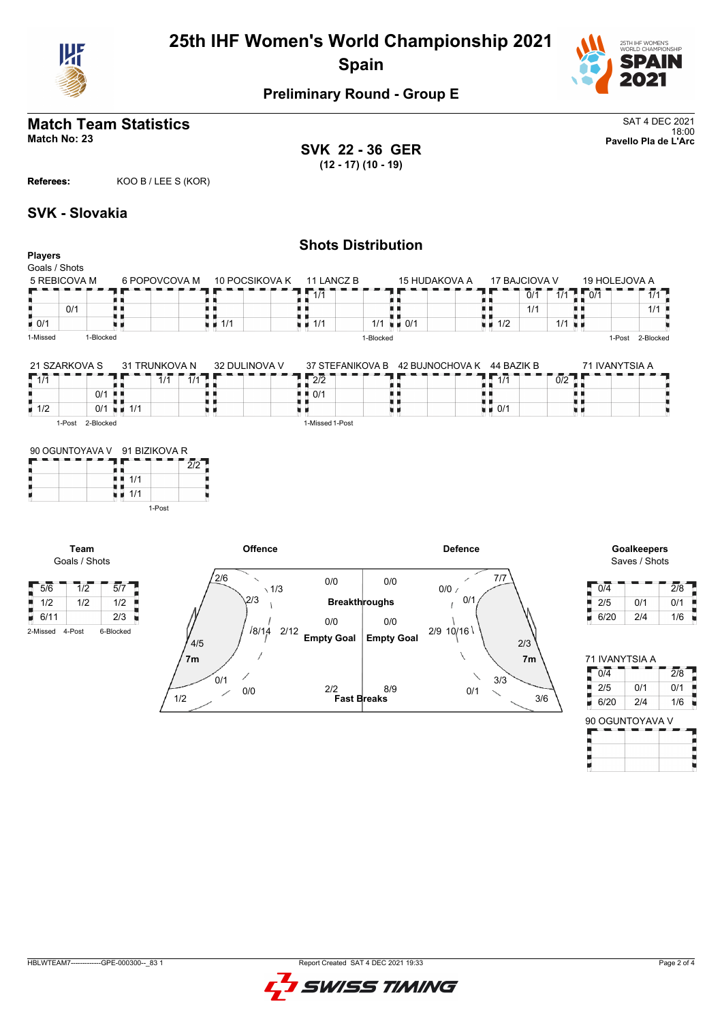



#### **Match Team Statistics** SAT 4 DEC 2021 18:00 **Match No: 23 Pavello Pla de L'Arc**

**SVK 22 - 36 GER (12 - 17) (10 - 19)**

**Referees:** KOO B / LEE S (KOR)

### **SVK - Slovakia**

#### **Shots Distribution Players** Goals / Shots 5 REBICOVA M 6 POPOVCOVA M 10 POCSIKOVA K 15 HUDAKOVA A 17 BAJCIOVA V<br> $\blacksquare$   $\blacksquare$   $\blacksquare$   $\blacksquare$   $\blacksquare$   $\blacksquare$   $\blacksquare$   $\blacksquare$   $\blacksquare$   $\blacksquare$   $\blacksquare$   $\blacksquare$   $\blacksquare$   $\blacksquare$   $\blacksquare$   $\blacksquare$ 11 LANCZ B 19 HOLEJOVA A  $7.17$  $\frac{1}{1/1}$  0/1  $\frac{1}{1}$  1/1  $\mathbf{r}$ t  $0/1$  $\frac{1}{1/2}$   $\frac{1}{1/1}$   $\frac{1}{1/2}$   $\frac{1}{1/1}$   $\frac{1}{1/2}$ 11<br>11 1/1<br>11 1/1 89 Ĥ, A R  $\frac{1}{1}$   $\frac{1}{1/1}$ п 0/1 机电 in in 1/1 机电 1/1 п  $1/1$   $1/1$  0/1  $-0/1$ u e 1-Missed 1-Blocked 1-Blocked 1-Post 2-Blocked 21 SZARKOVA S 31 TRUNKOVA N 71 IVANYTSIA A 32 DULINOVA V 37 STEFANIKOVA B 42 BUJNOCHOVA K 44 BAZIK B  $\begin{array}{c}\n\frac{1}{1} \\
\frac{1}{1} \\
\frac{1}{1} \\
\frac{1}{1} \\
\frac{1}{1} \\
\frac{1}{1} \\
\frac{1}{1} \\
\frac{1}{1}\n\end{array}$  $\sqrt{1/1}$ n é ъĖ 2/2 m e  $1/1$   $1/1$  $\frac{1}{1}$   $\frac{2}{2}$ <br> $\frac{0}{1}$ B h h ij 0/1 n e n n  $\frac{0/1}{0/1}$   $\frac{1}{1/1}$ U  $\frac{1}{1}$  0/1  $\frac{1}{1}$  1/2 n e 1-Post 2-Blocked 1-Missed 1-Post 90 OGUNTOYAVA V 91 BIZIKOVA R  $\frac{91}{1}$ <br> $\frac{91}{1}$ <br> $\frac{1}{1/1}$ <br> $\frac{1}{1/4}$  $\overline{ }$ 2/2 ш  $\frac{1}{2}$  1/1 1-Post **Offence Defence Goalkeepers Team** Goals / Shots Saves / Shots

| 5/6             | 1/2 | 5/7       |
|-----------------|-----|-----------|
| 1/2             | 1/2 | 1/2       |
| 6/11            |     | 2/3       |
| 2-Missed 4-Post |     | 6-Blocked |



| 0/4  |     | 2/8 |
|------|-----|-----|
| 2/5  | 0/1 | 0/1 |
| 6/20 | 2/4 | 1/6 |

| 0/4  |     | 2/8 |
|------|-----|-----|
| 2/5  | 0/1 | 0/1 |
| 6/20 | 2/4 | 1/6 |

Н

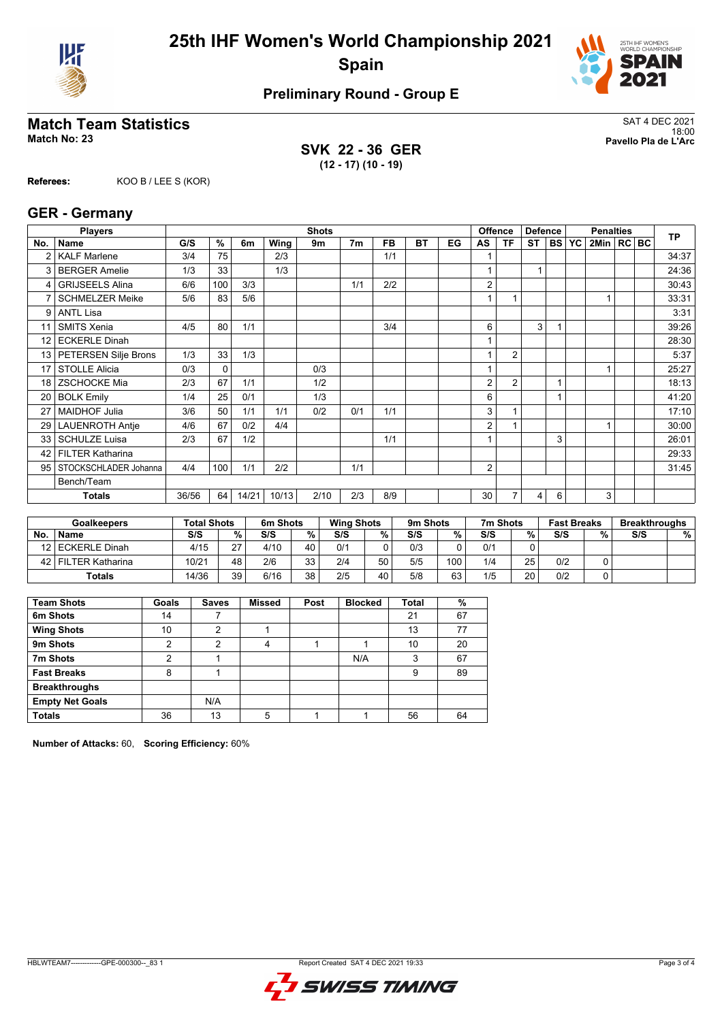



# **Match Team Statistics**<br>Match No: 23<br>Pavello Pla de L'Arc

**SVK 22 - 36 GER (12 - 17) (10 - 19)**

18:00 **Match No: 23 Pavello Pla de L'Arc**

**Referees:** KOO B / LEE S (KOR)

### **GER - Germany**

|                 | <b>Players</b>          |       |      |       |       | <b>Shots</b> |                |           |           |    |                | <b>Offence</b> | <b>Defence</b> |           |           | <b>Penalties</b> |  | <b>TP</b> |
|-----------------|-------------------------|-------|------|-------|-------|--------------|----------------|-----------|-----------|----|----------------|----------------|----------------|-----------|-----------|------------------|--|-----------|
| No.             | <b>Name</b>             | G/S   | $\%$ | 6m    | Wing  | 9m           | 7 <sub>m</sub> | <b>FB</b> | <b>BT</b> | EG | AS             | <b>TF</b>      | <b>ST</b>      | <b>BS</b> | <b>YC</b> | 2Min   RC BC     |  |           |
| $\overline{2}$  | <b>KALF Marlene</b>     | 3/4   | 75   |       | 2/3   |              |                | 1/1       |           |    |                |                |                |           |           |                  |  | 34:37     |
| 3               | <b>BERGER Amelie</b>    | 1/3   | 33   |       | 1/3   |              |                |           |           |    |                |                | 1              |           |           |                  |  | 24:36     |
| 4               | <b>GRIJSEELS Alina</b>  | 6/6   | 100  | 3/3   |       |              | 1/1            | 2/2       |           |    | 2              |                |                |           |           |                  |  | 30:43     |
|                 | <b>SCHMELZER Meike</b>  | 5/6   | 83   | 5/6   |       |              |                |           |           |    |                |                |                |           |           |                  |  | 33:31     |
| 9               | <b>ANTL Lisa</b>        |       |      |       |       |              |                |           |           |    |                |                |                |           |           |                  |  | 3:31      |
| 11              | <b>SMITS Xenia</b>      | 4/5   | 80   | 1/1   |       |              |                | 3/4       |           |    | 6              |                | 3              |           |           |                  |  | 39:26     |
| 12 <sup>2</sup> | <b>ECKERLE Dinah</b>    |       |      |       |       |              |                |           |           |    |                |                |                |           |           |                  |  | 28:30     |
| 13 <sup>1</sup> | PETERSEN Silje Brons    | 1/3   | 33   | 1/3   |       |              |                |           |           |    |                | $\overline{2}$ |                |           |           |                  |  | 5:37      |
| 17              | <b>STOLLE Alicia</b>    | 0/3   | 0    |       |       | 0/3          |                |           |           |    |                |                |                |           |           |                  |  | 25:27     |
| 18              | <b>ZSCHOCKE Mia</b>     | 2/3   | 67   | 1/1   |       | 1/2          |                |           |           |    | 2              | $\overline{2}$ |                |           |           |                  |  | 18:13     |
| 20              | <b>BOLK Emily</b>       | 1/4   | 25   | 0/1   |       | 1/3          |                |           |           |    | 6              |                |                |           |           |                  |  | 41:20     |
| 27              | <b>MAIDHOF Julia</b>    | 3/6   | 50   | 1/1   | 1/1   | 0/2          | 0/1            | 1/1       |           |    | 3              |                |                |           |           |                  |  | 17:10     |
| 29              | <b>LAUENROTH Antje</b>  | 4/6   | 67   | 0/2   | 4/4   |              |                |           |           |    | $\overline{2}$ |                |                |           |           |                  |  | 30:00     |
| 33              | <b>SCHULZE Luisa</b>    | 2/3   | 67   | 1/2   |       |              |                | 1/1       |           |    |                |                |                | 3         |           |                  |  | 26:01     |
| 42              | <b>FILTER Katharina</b> |       |      |       |       |              |                |           |           |    |                |                |                |           |           |                  |  | 29:33     |
| 95              | STOCKSCHLADER Johanna   | 4/4   | 100  | 1/1   | 2/2   |              | 1/1            |           |           |    | $\overline{2}$ |                |                |           |           |                  |  | 31:45     |
|                 | Bench/Team              |       |      |       |       |              |                |           |           |    |                |                |                |           |           |                  |  |           |
|                 | <b>Totals</b>           | 36/56 | 64   | 14/21 | 10/13 | 2/10         | 2/3            | 8/9       |           |    | 30             | $\overline{7}$ | 4              | 6         |           | 3                |  |           |
|                 |                         |       |      |       |       |              |                |           |           |    |                |                |                |           |           |                  |  |           |

|           | <b>Goalkeepers</b> | <b>Total Shots</b> |    | 6m Shots |         | <b>Wing Shots</b> |    | 9m Shots |     | 7m Shots |    | <b>Fast Breaks</b> |   | <b>Breakthroughs</b> |   |
|-----------|--------------------|--------------------|----|----------|---------|-------------------|----|----------|-----|----------|----|--------------------|---|----------------------|---|
| <b>No</b> | <b>Name</b>        | S/S                | %. | S/S      | %       | S/S               | %  | S/S      | ℅   | S/S      | %  | S/S                | % | S/S                  | % |
|           | 12 ECKERLE Dinah   | 4/15               | 27 | 4/10     | 40      | 0/1               |    | 0/3      |     | 0/1      |    |                    |   |                      |   |
| 42 I      | FILTER Katharina   | 10/21              | 48 | 2/6      | 33<br>س | 2/4               | 50 | 5/5      | 100 | 1/4      | 25 | 0/2                |   |                      |   |
|           | <b>Totals</b>      | 14/36              | 39 | 6/16     | 38      | 2/5               | 40 | 5/8      | 63  | 1/5      | 20 | 0/2                |   |                      |   |

| <b>Team Shots</b>      | Goals | <b>Saves</b> | <b>Missed</b> | Post | <b>Blocked</b> | <b>Total</b> | %  |
|------------------------|-------|--------------|---------------|------|----------------|--------------|----|
| 6m Shots               | 14    |              |               |      |                | 21           | 67 |
| <b>Wing Shots</b>      | 10    | າ            |               |      |                | 13           | 77 |
| 9m Shots               | 2     | 2            | 4             |      |                | 10           | 20 |
| 7m Shots               | າ     |              |               |      | N/A            | 3            | 67 |
| <b>Fast Breaks</b>     | 8     |              |               |      |                | 9            | 89 |
| <b>Breakthroughs</b>   |       |              |               |      |                |              |    |
| <b>Empty Net Goals</b> |       | N/A          |               |      |                |              |    |
| <b>Totals</b>          | 36    | 13           | 5             |      |                | 56           | 64 |

**Number of Attacks:** 60, **Scoring Efficiency:** 60%